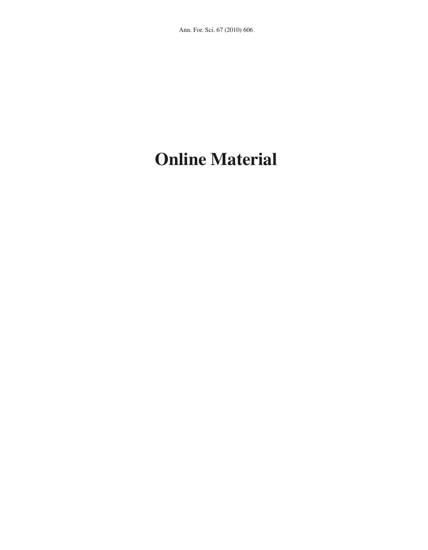## **Online Material**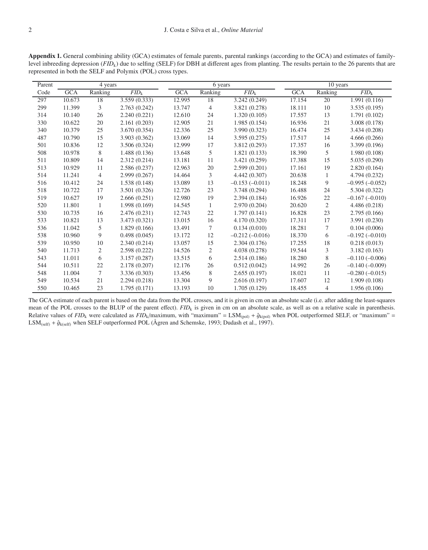**Appendix 1.** General combining ability (GCA) estimates of female parents, parental rankings (according to the GCA) and estimates of familylevel inbreeding depression (*FID*<sub>k</sub>) due to selfing (SELF) for DBH at different ages from planting. The results pertain to the 26 parents that are represented in both the SELF and Polymix (POL) cross types.

| Parent | 4 years    |                |                    | 6 years    |                |                  | 10 years   |                |                  |
|--------|------------|----------------|--------------------|------------|----------------|------------------|------------|----------------|------------------|
| Code   | <b>GCA</b> | Ranking        | $\overline{FID_k}$ | <b>GCA</b> | Ranking        | $FID_k$          | <b>GCA</b> | Ranking        | $FID_k$          |
| 297    | 10.673     | 18             | 3.559(0.333)       | 12.995     | 18             | 3.242(0.249)     | 17.154     | 20             | 1.991 (0.116)    |
| 299    | 11.399     | 3              | 2.763(0.242)       | 13.747     | 4              | 3.821 (0.278)    | 18.111     | 10             | 3.535(0.195)     |
| 314    | 10.140     | 26             | 2.240(0.221)       | 12.610     | 24             | 1.320(0.105)     | 17.557     | 13             | 1.791 (0.102)    |
| 330    | 10.622     | 20             | 2.161(0.203)       | 12.905     | 21             | 1.985(0.154)     | 16.936     | 21             | 3.008 (0.178)    |
| 340    | 10.379     | 25             | 3.670 (0.354)      | 12.336     | 25             | 3.990 (0.323)    | 16.474     | 25             | 3.434 (0.208)    |
| 487    | 10.790     | 15             | 3.903 (0.362)      | 13.069     | 14             | 3.595(0.275)     | 17.517     | 14             | 4.666(0.266)     |
| 501    | 10.836     | 12             | 3.506 (0.324)      | 12.999     | 17             | 3.812(0.293)     | 17.357     | 16             | 3.399 (0.196)    |
| 508    | 10.978     | 8              | 1.488(0.136)       | 13.648     | 5              | 1.821(0.133)     | 18.390     | 5              | 1.980(0.108)     |
| 511    | 10.809     | 14             | 2.312(0.214)       | 13.181     | 11             | 3.421 (0.259)    | 17.388     | 15             | 5.035 (0.290)    |
| 513    | 10.929     | 11             | 2.586 (0.237)      | 12.963     | 20             | 2.599(0.201)     | 17.161     | 19             | 2.820 (0.164)    |
| 514    | 11.241     | 4              | 2.999 (0.267)      | 14.464     | 3              | 4.442(0.307)     | 20.638     | $\mathbf{1}$   | 4.794 (0.232)    |
| 516    | 10.412     | 24             | 1.538 (0.148)      | 13.089     | 13             | $-0.153(-0.011)$ | 18.248     | 9              | $-0.995(-0.052)$ |
| 518    | 10.722     | 17             | 3.501 (0.326)      | 12.726     | 23             | 3.748 (0.294)    | 16.488     | 24             | 5.304 (0.322)    |
| 519    | 10.627     | 19             | 2.666(0.251)       | 12.980     | 19             | 2.394(0.184)     | 16.926     | 22             | $-0.167(-0.010)$ |
| 520    | 11.801     | 1              | 1.998 (0.169)      | 14.545     | 1              | 2.970 (0.204)    | 20.620     | $\overline{2}$ | 4.486 (0.218)    |
| 530    | 10.735     | 16             | 2.476 (0.231)      | 12.743     | 22             | 1.797(0.141)     | 16.828     | 23             | 2.795 (0.166)    |
| 533    | 10.821     | 13             | 3.473 (0.321)      | 13.015     | 16             | 4.170 (0.320)    | 17.311     | 17             | 3.991 (0.230)    |
| 536    | 11.042     | 5              | 1.829(0.166)       | 13.491     | $\tau$         | 0.134(0.010)     | 18.281     | $\overline{7}$ | 0.104(0.006)     |
| 538    | 10.960     | 9              | 0.498(0.045)       | 13.172     | 12             | $-0.212(-0.016)$ | 18.370     | 6              | $-0.192(-0.010)$ |
| 539    | 10.950     | 10             | 2.340(0.214)       | 13.057     | 15             | 2.304(0.176)     | 17.255     | 18             | 0.218(0.013)     |
| 540    | 11.713     | $\overline{c}$ | 2.598 (0.222)      | 14.526     | $\overline{c}$ | 4.038 (0.278)    | 19.544     | 3              | 3.182(0.163)     |
| 543    | 11.011     | 6              | 3.157(0.287)       | 13.515     | 6              | 2.514(0.186)     | 18.280     | $8\,$          | $-0.110(-0.006)$ |
| 544    | 10.511     | 22             | 2.178 (0.207)      | 12.176     | 26             | 0.512(0.042)     | 14.992     | 26             | $-0.140(-0.009)$ |
| 548    | 11.004     | 7              | 3.336 (0.303)      | 13.456     | 8              | 2.655(0.197)     | 18.021     | 11             | $-0.280(-0.015)$ |
| 549    | 10.534     | 21             | 2.294(0.218)       | 13.304     | 9              | 2.616(0.197)     | 17.607     | 12             | 1.909(0.108)     |
| 550    | 10.465     | 23             | 1.795(0.171)       | 13.193     | 10             | 1.705(0.129)     | 18.455     | 4              | 1.956 (0.106)    |

The GCA estimate of each parent is based on the data from the POL crosses, and it is given in cm on an absolute scale (i.e. after adding the least-squares mean of the POL crosses to the BLUP of the parent effect). *FID*<sub>k</sub> is given in cm on an absolute scale, as well as on a relative scale in parenthesis. Relative values of  $FID_k$  were calculated as  $FID_k/maximum$ , with "maximum" = LSM<sub>(pol)</sub> +  $\hat{g}_{k(pol)}$  when POL outperformed SELF, or "maximum" =  $LSM_{(self)} + \hat{g}_{k(self)}$  when SELF outperformed POL (Ågren and Schemske, 1993; Dudash et al., 1997).